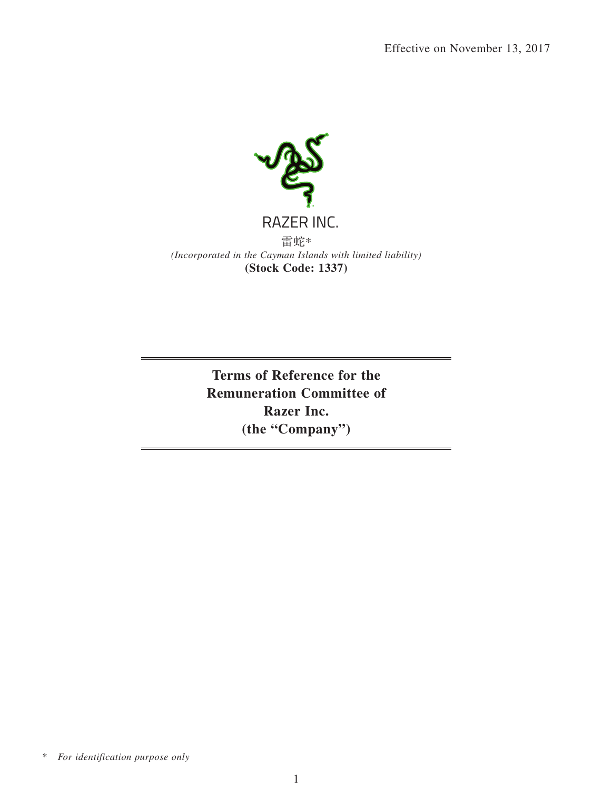

**Terms of Reference for the Remuneration Committee of Razer Inc. (the "Company")**

<sup>\*</sup> *For identification purpose only*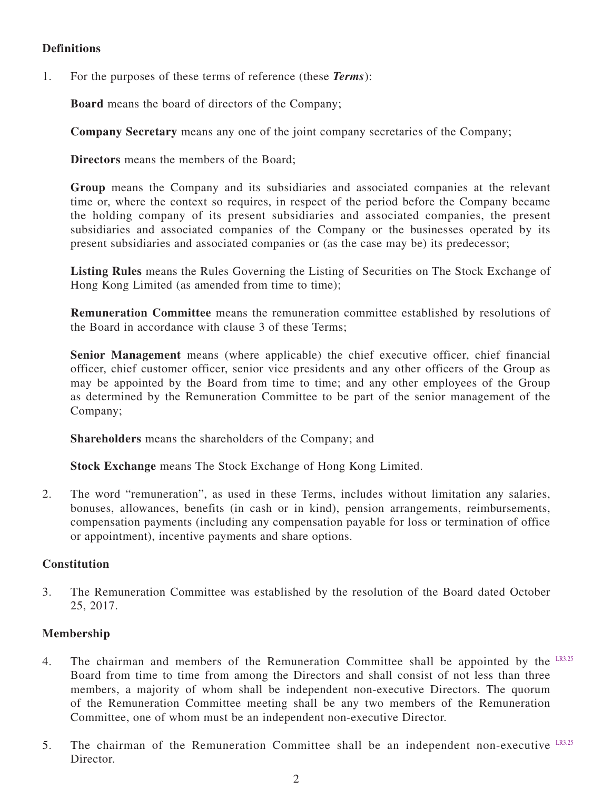## **Definitions**

1. For the purposes of these terms of reference (these *Terms*):

**Board** means the board of directors of the Company;

**Company Secretary** means any one of the joint company secretaries of the Company;

**Directors** means the members of the Board;

**Group** means the Company and its subsidiaries and associated companies at the relevant time or, where the context so requires, in respect of the period before the Company became the holding company of its present subsidiaries and associated companies, the present subsidiaries and associated companies of the Company or the businesses operated by its present subsidiaries and associated companies or (as the case may be) its predecessor;

**Listing Rules** means the Rules Governing the Listing of Securities on The Stock Exchange of Hong Kong Limited (as amended from time to time);

**Remuneration Committee** means the remuneration committee established by resolutions of the Board in accordance with clause 3 of these Terms;

**Senior Management** means (where applicable) the chief executive officer, chief financial officer, chief customer officer, senior vice presidents and any other officers of the Group as may be appointed by the Board from time to time; and any other employees of the Group as determined by the Remuneration Committee to be part of the senior management of the Company;

**Shareholders** means the shareholders of the Company; and

**Stock Exchange** means The Stock Exchange of Hong Kong Limited.

2. The word "remuneration", as used in these Terms, includes without limitation any salaries, bonuses, allowances, benefits (in cash or in kind), pension arrangements, reimbursements, compensation payments (including any compensation payable for loss or termination of office or appointment), incentive payments and share options.

### **Constitution**

3. The Remuneration Committee was established by the resolution of the Board dated October 25, 2017.

## **Membership**

- 4. The chairman and members of the Remuneration Committee shall be appointed by the LR3.25 Board from time to time from among the Directors and shall consist of not less than three members, a majority of whom shall be independent non-executive Directors. The quorum of the Remuneration Committee meeting shall be any two members of the Remuneration Committee, one of whom must be an independent non-executive Director.
- 5. The chairman of the Remuneration Committee shall be an independent non-executive LR3.25 Director.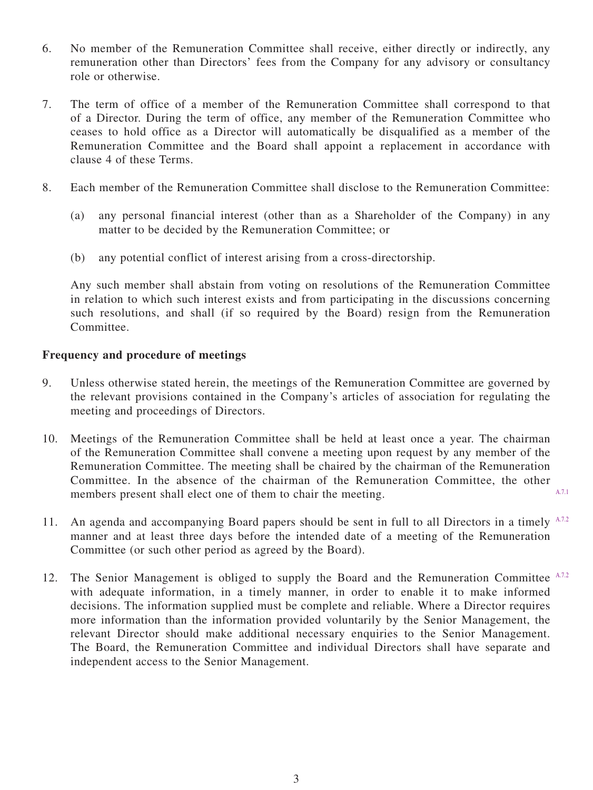- 6. No member of the Remuneration Committee shall receive, either directly or indirectly, any remuneration other than Directors' fees from the Company for any advisory or consultancy role or otherwise.
- 7. The term of office of a member of the Remuneration Committee shall correspond to that of a Director. During the term of office, any member of the Remuneration Committee who ceases to hold office as a Director will automatically be disqualified as a member of the Remuneration Committee and the Board shall appoint a replacement in accordance with clause 4 of these Terms.
- 8. Each member of the Remuneration Committee shall disclose to the Remuneration Committee:
	- (a) any personal financial interest (other than as a Shareholder of the Company) in any matter to be decided by the Remuneration Committee; or
	- (b) any potential conflict of interest arising from a cross-directorship.

Any such member shall abstain from voting on resolutions of the Remuneration Committee in relation to which such interest exists and from participating in the discussions concerning such resolutions, and shall (if so required by the Board) resign from the Remuneration **Committee.** 

### **Frequency and procedure of meetings**

- 9. Unless otherwise stated herein, the meetings of the Remuneration Committee are governed by the relevant provisions contained in the Company's articles of association for regulating the meeting and proceedings of Directors.
- 10. Meetings of the Remuneration Committee shall be held at least once a year. The chairman of the Remuneration Committee shall convene a meeting upon request by any member of the Remuneration Committee. The meeting shall be chaired by the chairman of the Remuneration Committee. In the absence of the chairman of the Remuneration Committee, the other members present shall elect one of them to chair the meeting. A.7.1
- 11. An agenda and accompanying Board papers should be sent in full to all Directors in a timely A.7.2 manner and at least three days before the intended date of a meeting of the Remuneration Committee (or such other period as agreed by the Board).
- 12. The Senior Management is obliged to supply the Board and the Remuneration Committee A.7.2 with adequate information, in a timely manner, in order to enable it to make informed decisions. The information supplied must be complete and reliable. Where a Director requires more information than the information provided voluntarily by the Senior Management, the relevant Director should make additional necessary enquiries to the Senior Management. The Board, the Remuneration Committee and individual Directors shall have separate and independent access to the Senior Management.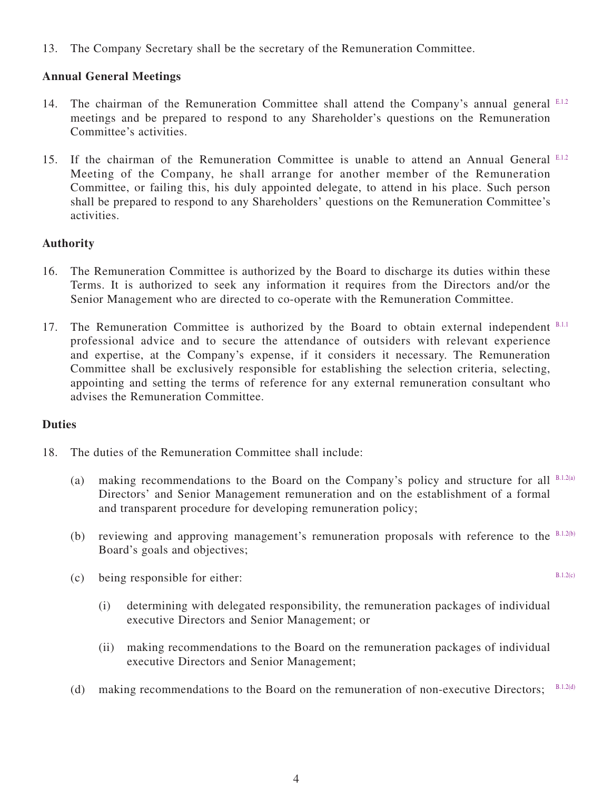13. The Company Secretary shall be the secretary of the Remuneration Committee.

## **Annual General Meetings**

- 14. The chairman of the Remuneration Committee shall attend the Company's annual general ELL2 meetings and be prepared to respond to any Shareholder's questions on the Remuneration Committee's activities.
- 15. If the chairman of the Remuneration Committee is unable to attend an Annual General E.1.2 Meeting of the Company, he shall arrange for another member of the Remuneration Committee, or failing this, his duly appointed delegate, to attend in his place. Such person shall be prepared to respond to any Shareholders' questions on the Remuneration Committee's activities.

# **Authority**

- 16. The Remuneration Committee is authorized by the Board to discharge its duties within these Terms. It is authorized to seek any information it requires from the Directors and/or the Senior Management who are directed to co-operate with the Remuneration Committee.
- 17. The Remuneration Committee is authorized by the Board to obtain external independent B.L.I professional advice and to secure the attendance of outsiders with relevant experience and expertise, at the Company's expense, if it considers it necessary. The Remuneration Committee shall be exclusively responsible for establishing the selection criteria, selecting, appointing and setting the terms of reference for any external remuneration consultant who advises the Remuneration Committee.

## **Duties**

- 18. The duties of the Remuneration Committee shall include:
	- (a) making recommendations to the Board on the Company's policy and structure for all  $B.1.2(a)$ Directors' and Senior Management remuneration and on the establishment of a formal and transparent procedure for developing remuneration policy;
	- (b) reviewing and approving management's remuneration proposals with reference to the  $B.1.2(b)$ Board's goals and objectives;
	- (c) being responsible for either:
		- (i) determining with delegated responsibility, the remuneration packages of individual executive Directors and Senior Management; or
		- (ii) making recommendations to the Board on the remuneration packages of individual executive Directors and Senior Management;
	- (d) making recommendations to the Board on the remuneration of non-executive Directors; B.1.2(d)

B.1.2(c)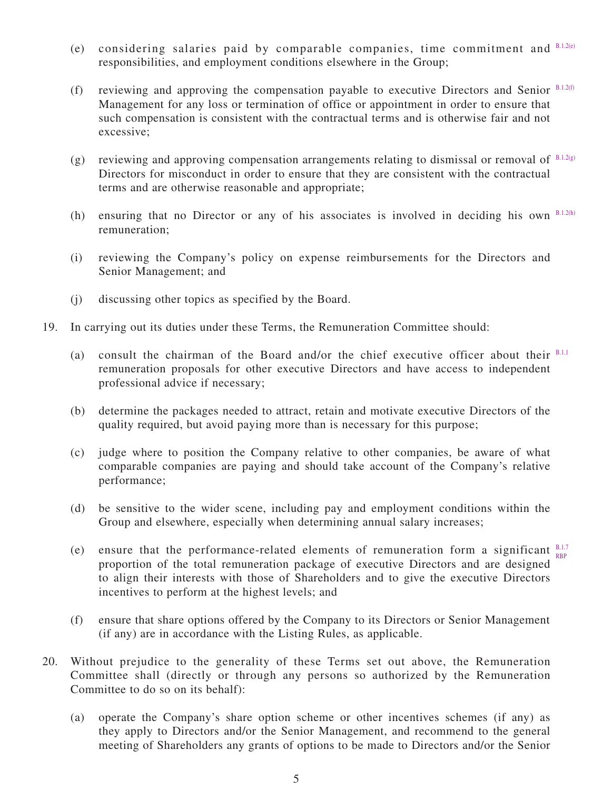- (e) considering salaries paid by comparable companies, time commitment and B.1.2(e) responsibilities, and employment conditions elsewhere in the Group;
- (f) reviewing and approving the compensation payable to executive Directors and Senior  $B.1.2(f)$ Management for any loss or termination of office or appointment in order to ensure that such compensation is consistent with the contractual terms and is otherwise fair and not excessive;
- (g) reviewing and approving compensation arrangements relating to dismissal or removal of B.1.2(g) Directors for misconduct in order to ensure that they are consistent with the contractual terms and are otherwise reasonable and appropriate;
- (h) ensuring that no Director or any of his associates is involved in deciding his own B.1.2(h) remuneration;
- (i) reviewing the Company's policy on expense reimbursements for the Directors and Senior Management; and
- (j) discussing other topics as specified by the Board.
- 19. In carrying out its duties under these Terms, the Remuneration Committee should:
	- (a) consult the chairman of the Board and/or the chief executive officer about their  $B.1.1$ remuneration proposals for other executive Directors and have access to independent professional advice if necessary;
	- (b) determine the packages needed to attract, retain and motivate executive Directors of the quality required, but avoid paying more than is necessary for this purpose;
	- (c) judge where to position the Company relative to other companies, be aware of what comparable companies are paying and should take account of the Company's relative performance;
	- (d) be sensitive to the wider scene, including pay and employment conditions within the Group and elsewhere, especially when determining annual salary increases;
	- (e) ensure that the performance-related elements of remuneration form a significant  $_{\text{non}}^{\text{BL}}$ proportion of the total remuneration package of executive Directors and are designed to align their interests with those of Shareholders and to give the executive Directors incentives to perform at the highest levels; and RBP
	- (f) ensure that share options offered by the Company to its Directors or Senior Management (if any) are in accordance with the Listing Rules, as applicable.
- 20. Without prejudice to the generality of these Terms set out above, the Remuneration Committee shall (directly or through any persons so authorized by the Remuneration Committee to do so on its behalf):
	- (a) operate the Company's share option scheme or other incentives schemes (if any) as they apply to Directors and/or the Senior Management, and recommend to the general meeting of Shareholders any grants of options to be made to Directors and/or the Senior